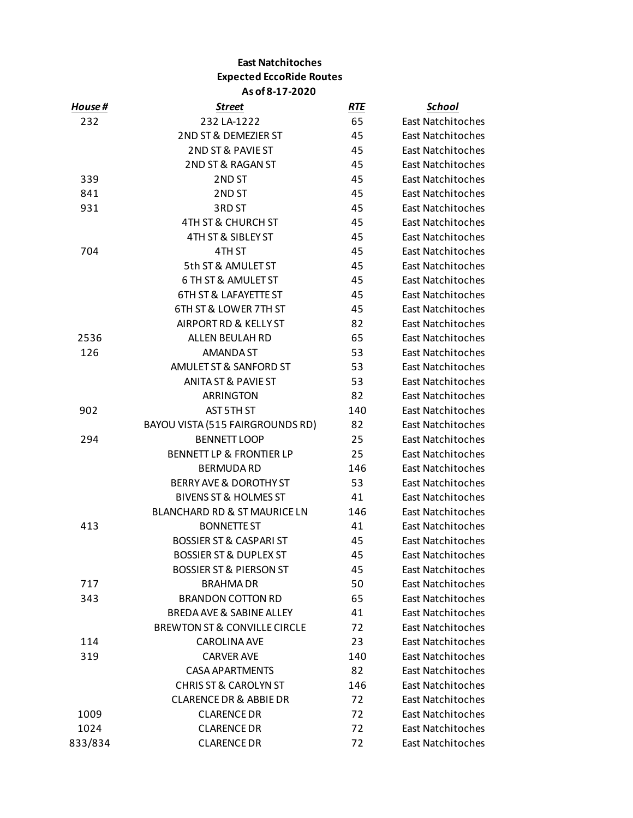## **East Natchitoches Expected EccoRide Routes As of 8-17-2020**

| House # | <u>Street</u>                           | <u>RTE</u> | <u>School</u>            |
|---------|-----------------------------------------|------------|--------------------------|
| 232     | 232 LA-1222                             | 65         | East Natchitoches        |
|         | 2ND ST & DEMEZIER ST                    | 45         | <b>East Natchitoches</b> |
|         | 2ND ST & PAVIE ST                       | 45         | East Natchitoches        |
|         | 2ND ST & RAGAN ST                       | 45         | East Natchitoches        |
| 339     | 2ND ST                                  | 45         | East Natchitoches        |
| 841     | 2ND ST                                  | 45         | East Natchitoches        |
| 931     | 3RD ST                                  | 45         | East Natchitoches        |
|         | <b>4TH ST &amp; CHURCH ST</b>           | 45         | East Natchitoches        |
|         | 4TH ST & SIBLEY ST                      | 45         | East Natchitoches        |
| 704     | 4TH ST                                  | 45         | East Natchitoches        |
|         | 5th ST & AMULET ST                      | 45         | East Natchitoches        |
|         | 6 TH ST & AMULET ST                     | 45         | East Natchitoches        |
|         | <b>6TH ST &amp; LAFAYETTE ST</b>        | 45         | East Natchitoches        |
|         | 6TH ST & LOWER 7TH ST                   | 45         | East Natchitoches        |
|         | AIRPORT RD & KELLY ST                   | 82         | East Natchitoches        |
| 2536    | ALLEN BEULAH RD                         | 65         | East Natchitoches        |
| 126     | AMANDA ST                               | 53         | East Natchitoches        |
|         | AMULET ST & SANFORD ST                  | 53         | East Natchitoches        |
|         | <b>ANITA ST &amp; PAVIE ST</b>          | 53         | East Natchitoches        |
|         | ARRINGTON                               | 82         | East Natchitoches        |
| 902     | AST 5TH ST                              | 140        | East Natchitoches        |
|         | BAYOU VISTA (515 FAIRGROUNDS RD)        | 82         | East Natchitoches        |
| 294     | <b>BENNETT LOOP</b>                     | 25         | East Natchitoches        |
|         | <b>BENNETT LP &amp; FRONTIER LP</b>     | 25         | East Natchitoches        |
|         | <b>BERMUDA RD</b>                       | 146        | East Natchitoches        |
|         | BERRY AVE & DOROTHY ST                  | 53         | East Natchitoches        |
|         | <b>BIVENS ST &amp; HOLMES ST</b>        | 41         | East Natchitoches        |
|         | BLANCHARD RD & ST MAURICE LN            | 146        | East Natchitoches        |
| 413     | <b>BONNETTE ST</b>                      | 41         | East Natchitoches        |
|         | <b>BOSSIER ST &amp; CASPARI ST</b>      | 45         | <b>East Natchitoches</b> |
|         | <b>BOSSIER ST &amp; DUPLEX ST</b>       | 45         | <b>East Natchitoches</b> |
|         | <b>BOSSIER ST &amp; PIERSON ST</b>      | 45         | East Natchitoches        |
| 717     | <b>BRAHMA DR</b>                        | 50         | East Natchitoches        |
| 343     | <b>BRANDON COTTON RD</b>                | 65         | <b>East Natchitoches</b> |
|         | BREDA AVE & SABINE ALLEY                | 41         | East Natchitoches        |
|         | <b>BREWTON ST &amp; CONVILLE CIRCLE</b> | 72         | East Natchitoches        |
| 114     | CAROLINA AVE                            | 23         | <b>East Natchitoches</b> |
| 319     | <b>CARVER AVE</b>                       | 140        | <b>East Natchitoches</b> |
|         | <b>CASA APARTMENTS</b>                  | 82         | <b>East Natchitoches</b> |
|         | <b>CHRIS ST &amp; CAROLYN ST</b>        | 146        | <b>East Natchitoches</b> |
|         | <b>CLARENCE DR &amp; ABBIE DR</b>       | 72         | East Natchitoches        |
| 1009    | <b>CLARENCE DR</b>                      | 72         | East Natchitoches        |
| 1024    | <b>CLARENCE DR</b>                      | 72         | <b>East Natchitoches</b> |
| 833/834 | <b>CLARENCE DR</b>                      | 72         | <b>East Natchitoches</b> |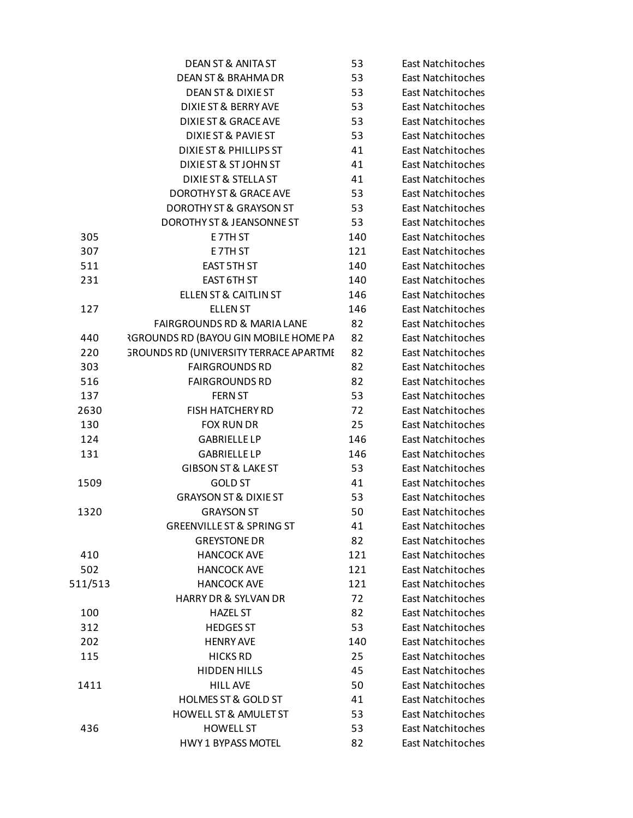|         | <b>DEAN ST &amp; ANITA ST</b>                | 53  | East Natchitoches        |
|---------|----------------------------------------------|-----|--------------------------|
|         | <b>DEAN ST &amp; BRAHMA DR</b>               | 53  | East Natchitoches        |
|         | DEAN ST & DIXIE ST                           | 53  | East Natchitoches        |
|         | DIXIE ST & BERRY AVE                         | 53  | East Natchitoches        |
|         | <b>DIXIE ST &amp; GRACE AVE</b>              | 53  | <b>East Natchitoches</b> |
|         | DIXIE ST & PAVIE ST                          | 53  | East Natchitoches        |
|         | <b>DIXIE ST &amp; PHILLIPS ST</b>            | 41  | East Natchitoches        |
|         | DIXIE ST & ST JOHN ST                        | 41  | East Natchitoches        |
|         | <b>DIXIE ST &amp; STELLA ST</b>              | 41  | East Natchitoches        |
|         | <b>DOROTHY ST &amp; GRACE AVE</b>            | 53  | <b>East Natchitoches</b> |
|         | <b>DOROTHY ST &amp; GRAYSON ST</b>           | 53  | East Natchitoches        |
|         | DOROTHY ST & JEANSONNE ST                    | 53  | East Natchitoches        |
| 305     | E7TH ST                                      | 140 | East Natchitoches        |
| 307     | E7TH ST                                      | 121 | East Natchitoches        |
| 511     | <b>EAST 5TH ST</b>                           | 140 | East Natchitoches        |
| 231     | EAST 6TH ST                                  | 140 | East Natchitoches        |
|         | <b>ELLEN ST &amp; CAITLIN ST</b>             | 146 | <b>East Natchitoches</b> |
| 127     | <b>ELLEN ST</b>                              | 146 | East Natchitoches        |
|         | FAIRGROUNDS RD & MARIA LANE                  | 82  | East Natchitoches        |
| 440     | <b>RGROUNDS RD (BAYOU GIN MOBILE HOME PA</b> | 82  | East Natchitoches        |
| 220     | GROUNDS RD (UNIVERSITY TERRACE APARTME       | 82  | East Natchitoches        |
| 303     | <b>FAIRGROUNDS RD</b>                        | 82  | East Natchitoches        |
| 516     | <b>FAIRGROUNDS RD</b>                        | 82  | East Natchitoches        |
| 137     | <b>FERN ST</b>                               | 53  | East Natchitoches        |
| 2630    | <b>FISH HATCHERY RD</b>                      | 72  | East Natchitoches        |
| 130     | <b>FOX RUN DR</b>                            | 25  | East Natchitoches        |
| 124     | <b>GABRIELLE LP</b>                          | 146 | East Natchitoches        |
| 131     | <b>GABRIELLE LP</b>                          | 146 | East Natchitoches        |
|         | <b>GIBSON ST &amp; LAKE ST</b>               | 53  | East Natchitoches        |
| 1509    | <b>GOLD ST</b>                               | 41  | East Natchitoches        |
|         | <b>GRAYSON ST &amp; DIXIE ST</b>             | 53  | East Natchitoches        |
| 1320    | <b>GRAYSON ST</b>                            | 50  | East Natchitoches        |
|         | <b>GREENVILLE ST &amp; SPRING ST</b>         | 41  | East Natchitoches        |
|         | <b>GREYSTONE DR</b>                          | 82  | East Natchitoches        |
| 410     | <b>HANCOCK AVE</b>                           | 121 | East Natchitoches        |
| 502     | <b>HANCOCK AVE</b>                           | 121 | East Natchitoches        |
| 511/513 | <b>HANCOCK AVE</b>                           | 121 | East Natchitoches        |
|         | <b>HARRY DR &amp; SYLVAN DR</b>              | 72  | <b>East Natchitoches</b> |
| 100     | <b>HAZEL ST</b>                              | 82  | East Natchitoches        |
| 312     | <b>HEDGES ST</b>                             | 53  | East Natchitoches        |
| 202     | <b>HENRY AVE</b>                             | 140 | East Natchitoches        |
| 115     | <b>HICKS RD</b>                              | 25  | East Natchitoches        |
|         | <b>HIDDEN HILLS</b>                          | 45  | East Natchitoches        |
| 1411    | <b>HILL AVE</b>                              | 50  | East Natchitoches        |
|         | <b>HOLMES ST &amp; GOLD ST</b>               | 41  | East Natchitoches        |
|         | <b>HOWELL ST &amp; AMULET ST</b>             | 53  | East Natchitoches        |
| 436     | <b>HOWELL ST</b>                             | 53  | East Natchitoches        |
|         | <b>HWY 1 BYPASS MOTEL</b>                    | 82  |                          |
|         |                                              |     | East Natchitoches        |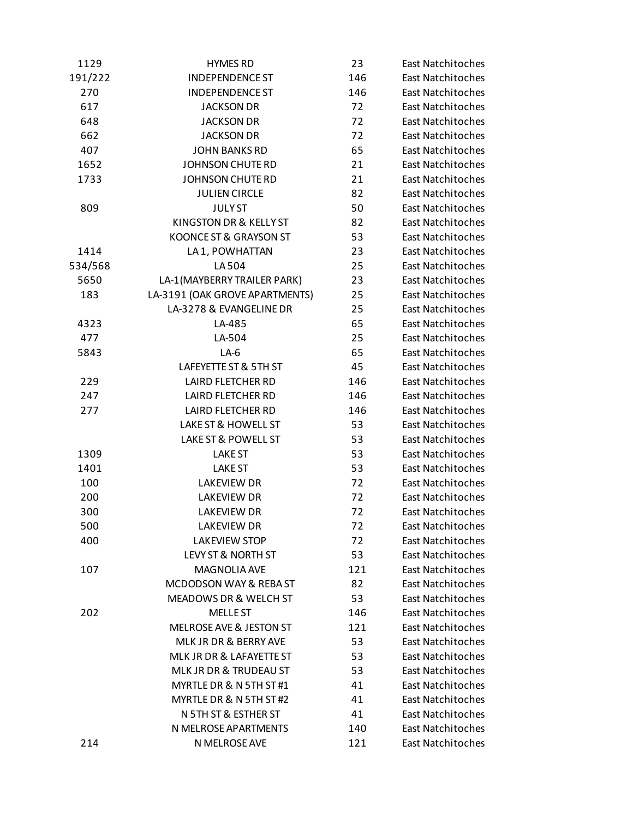| 1129    | <b>HYMES RD</b>                   | 23                              | East Natchitoches        |  |
|---------|-----------------------------------|---------------------------------|--------------------------|--|
| 191/222 | <b>INDEPENDENCE ST</b>            | 146<br><b>East Natchitoches</b> |                          |  |
| 270     | <b>INDEPENDENCE ST</b>            | 146<br><b>East Natchitoches</b> |                          |  |
| 617     | <b>JACKSON DR</b>                 | 72<br>East Natchitoches         |                          |  |
| 648     | <b>JACKSON DR</b>                 | 72<br><b>East Natchitoches</b>  |                          |  |
| 662     | <b>JACKSON DR</b>                 | 72                              | <b>East Natchitoches</b> |  |
| 407     | <b>JOHN BANKS RD</b>              | 65                              | <b>East Natchitoches</b> |  |
| 1652    | <b>JOHNSON CHUTE RD</b>           | 21<br><b>East Natchitoches</b>  |                          |  |
| 1733    | <b>JOHNSON CHUTE RD</b>           | 21                              | <b>East Natchitoches</b> |  |
|         | <b>JULIEN CIRCLE</b>              | 82                              | <b>East Natchitoches</b> |  |
| 809     | <b>JULYST</b>                     | 50                              | <b>East Natchitoches</b> |  |
|         | KINGSTON DR & KELLY ST            | 82                              | <b>East Natchitoches</b> |  |
|         | KOONCE ST & GRAYSON ST            | 53                              | <b>East Natchitoches</b> |  |
| 1414    | LA 1, POWHATTAN                   | 23                              | <b>East Natchitoches</b> |  |
| 534/568 | LA 504                            | 25                              | <b>East Natchitoches</b> |  |
| 5650    | LA-1(MAYBERRY TRAILER PARK)       | 23                              | <b>East Natchitoches</b> |  |
| 183     | LA-3191 (OAK GROVE APARTMENTS)    | 25                              | <b>East Natchitoches</b> |  |
|         | LA-3278 & EVANGELINE DR           | 25                              | <b>East Natchitoches</b> |  |
| 4323    | LA-485                            | 65                              | <b>East Natchitoches</b> |  |
| 477     | LA-504                            | 25                              | <b>East Natchitoches</b> |  |
| 5843    | $LA-6$                            | 65                              | <b>East Natchitoches</b> |  |
|         | LAFEYETTE ST & 5TH ST             | 45                              | <b>East Natchitoches</b> |  |
| 229     | <b>LAIRD FLETCHER RD</b>          | 146                             | <b>East Natchitoches</b> |  |
| 247     | <b>LAIRD FLETCHER RD</b>          | 146                             | <b>East Natchitoches</b> |  |
| 277     | <b>LAIRD FLETCHER RD</b>          | 146                             | <b>East Natchitoches</b> |  |
|         | LAKE ST & HOWELL ST               | 53                              | <b>East Natchitoches</b> |  |
|         | LAKE ST & POWELL ST               | 53                              | <b>East Natchitoches</b> |  |
| 1309    | <b>LAKE ST</b>                    | 53                              | <b>East Natchitoches</b> |  |
| 1401    | <b>LAKE ST</b>                    | 53                              | <b>East Natchitoches</b> |  |
| 100     | <b>LAKEVIEW DR</b>                | 72                              | <b>East Natchitoches</b> |  |
| 200     | <b>LAKEVIEW DR</b>                | 72                              | <b>East Natchitoches</b> |  |
| 300     | <b>LAKEVIEW DR</b>                | 72                              | <b>East Natchitoches</b> |  |
| 500     | <b>LAKEVIEW DR</b>                | 72                              | <b>East Natchitoches</b> |  |
| 400     | <b>LAKEVIEW STOP</b>              | 72                              | <b>East Natchitoches</b> |  |
|         | LEVY ST & NORTH ST                | 53                              | East Natchitoches        |  |
| 107     | <b>MAGNOLIA AVE</b>               | 121                             | <b>East Natchitoches</b> |  |
|         | <b>MCDODSON WAY &amp; REBA ST</b> | 82                              | <b>East Natchitoches</b> |  |
|         | MEADOWS DR & WELCH ST             | 53                              | <b>East Natchitoches</b> |  |
| 202     | <b>MELLE ST</b>                   |                                 | East Natchitoches        |  |
|         |                                   | 146                             |                          |  |
|         | MELROSE AVE & JESTON ST           | 121                             | East Natchitoches        |  |
|         | MLK JR DR & BERRY AVE             | 53                              | <b>East Natchitoches</b> |  |
|         | MLK JR DR & LAFAYETTE ST          | 53                              | East Natchitoches        |  |
|         | MLK JR DR & TRUDEAU ST            | 53                              | East Natchitoches        |  |
|         | MYRTLE DR & N 5TH ST #1           | 41                              | <b>East Natchitoches</b> |  |
|         | MYRTLE DR & N 5TH ST #2           | 41                              | East Natchitoches        |  |
|         | N 5TH ST & ESTHER ST              | 41                              | East Natchitoches        |  |
|         | N MELROSE APARTMENTS              | 140                             | <b>East Natchitoches</b> |  |
| 214     | N MELROSE AVE                     | 121                             | East Natchitoches        |  |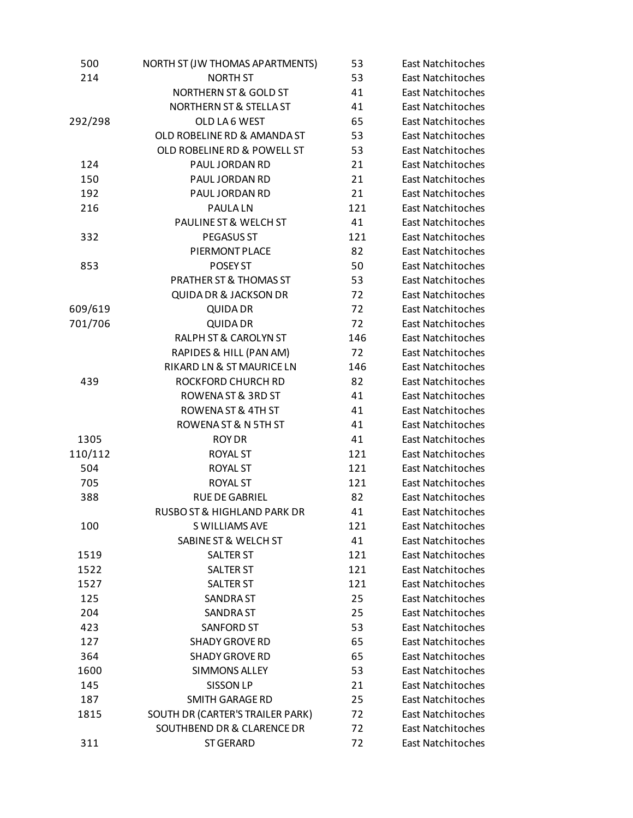| 500     | NORTH ST (JW THOMAS APARTMENTS)  | 53  | East Natchitoches        |
|---------|----------------------------------|-----|--------------------------|
| 214     | <b>NORTH ST</b>                  | 53  | <b>East Natchitoches</b> |
|         | <b>NORTHERN ST &amp; GOLD ST</b> | 41  | East Natchitoches        |
|         | NORTHERN ST & STELLA ST          | 41  | East Natchitoches        |
| 292/298 | OLD LA6 WEST                     | 65  | <b>East Natchitoches</b> |
|         | OLD ROBELINE RD & AMANDA ST      | 53  | <b>East Natchitoches</b> |
|         | OLD ROBELINE RD & POWELL ST      | 53  | <b>East Natchitoches</b> |
| 124     | PAUL JORDAN RD                   | 21  | <b>East Natchitoches</b> |
| 150     | PAUL JORDAN RD                   | 21  | <b>East Natchitoches</b> |
| 192     | PAUL JORDAN RD                   | 21  | <b>East Natchitoches</b> |
| 216     | <b>PAULALN</b>                   | 121 | <b>East Natchitoches</b> |
|         | PAULINE ST & WELCH ST            | 41  | <b>East Natchitoches</b> |
| 332     | PEGASUS ST                       | 121 | <b>East Natchitoches</b> |
|         | PIERMONT PLACE                   | 82  | <b>East Natchitoches</b> |
| 853     | POSEY ST                         | 50  | <b>East Natchitoches</b> |
|         | PRATHER ST & THOMAS ST           | 53  | <b>East Natchitoches</b> |
|         | <b>QUIDA DR &amp; JACKSON DR</b> | 72  | <b>East Natchitoches</b> |
| 609/619 | <b>QUIDA DR</b>                  | 72  | <b>East Natchitoches</b> |
| 701/706 | <b>QUIDA DR</b>                  | 72  | <b>East Natchitoches</b> |
|         | RALPH ST & CAROLYN ST            | 146 | <b>East Natchitoches</b> |
|         | RAPIDES & HILL (PAN AM)          | 72  | <b>East Natchitoches</b> |
|         | RIKARD LN & ST MAURICE LN        | 146 | <b>East Natchitoches</b> |
| 439     | ROCKFORD CHURCH RD               | 82  | <b>East Natchitoches</b> |
|         | ROWENA ST & 3RD ST               | 41  | <b>East Natchitoches</b> |
|         | ROWENA ST & 4TH ST               | 41  | <b>East Natchitoches</b> |
|         | ROWENA ST & N 5TH ST             | 41  | <b>East Natchitoches</b> |
| 1305    | <b>ROY DR</b>                    | 41  | <b>East Natchitoches</b> |
| 110/112 | <b>ROYAL ST</b>                  | 121 | <b>East Natchitoches</b> |
| 504     | <b>ROYAL ST</b>                  | 121 | <b>East Natchitoches</b> |
|         | <b>ROYAL ST</b>                  | 121 | <b>East Natchitoches</b> |
| 705     | <b>RUE DE GABRIEL</b>            | 82  |                          |
| 388     |                                  |     | <b>East Natchitoches</b> |
|         | RUSBO ST & HIGHLAND PARK DR      | 41  | <b>East Natchitoches</b> |
| 100     | S WILLIAMS AVE                   | 121 | <b>East Natchitoches</b> |
|         | SABINE ST & WELCH ST             | 41  | East Natchitoches        |
| 1519    | <b>SALTER ST</b>                 | 121 | <b>East Natchitoches</b> |
| 1522    | <b>SALTER ST</b>                 | 121 | East Natchitoches        |
| 1527    | <b>SALTER ST</b>                 | 121 | East Natchitoches        |
| 125     | <b>SANDRA ST</b>                 | 25  | <b>East Natchitoches</b> |
| 204     | <b>SANDRA ST</b>                 | 25  | <b>East Natchitoches</b> |
| 423     | <b>SANFORD ST</b>                | 53  | East Natchitoches        |
| 127     | <b>SHADY GROVE RD</b>            | 65  | <b>East Natchitoches</b> |
| 364     | <b>SHADY GROVE RD</b>            | 65  | East Natchitoches        |
| 1600    | <b>SIMMONS ALLEY</b>             | 53  | East Natchitoches        |
| 145     | <b>SISSON LP</b>                 | 21  | <b>East Natchitoches</b> |
| 187     | <b>SMITH GARAGE RD</b>           | 25  | East Natchitoches        |
| 1815    | SOUTH DR (CARTER'S TRAILER PARK) | 72  | East Natchitoches        |
|         | SOUTHBEND DR & CLARENCE DR       | 72  | <b>East Natchitoches</b> |
| 311     | <b>ST GERARD</b>                 | 72  | East Natchitoches        |